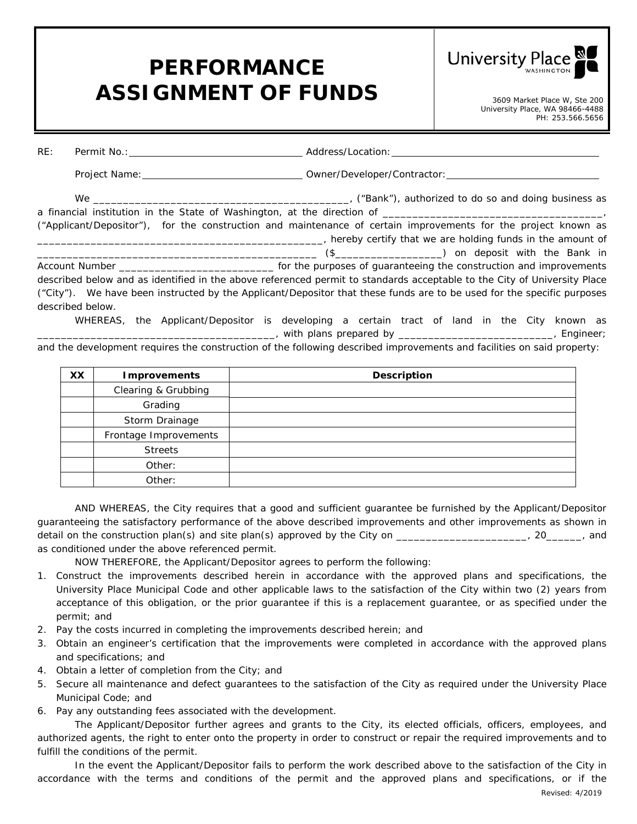## **PERFORMANCE**  ASSIGNMENT OF FUNDS 3609 Market Place W, Ste 200

**University Place** 

University Place, WA 98466-4488 PH: 253.566.5656

| RE: |                  |                                                                                                                          |  |  |  |  |  |  |  |  |  |
|-----|------------------|--------------------------------------------------------------------------------------------------------------------------|--|--|--|--|--|--|--|--|--|
|     |                  |                                                                                                                          |  |  |  |  |  |  |  |  |  |
|     |                  |                                                                                                                          |  |  |  |  |  |  |  |  |  |
|     |                  |                                                                                                                          |  |  |  |  |  |  |  |  |  |
|     |                  | ("Applicant/Depositor"), for the construction and maintenance of certain improvements for the project known as           |  |  |  |  |  |  |  |  |  |
|     |                  |                                                                                                                          |  |  |  |  |  |  |  |  |  |
|     |                  |                                                                                                                          |  |  |  |  |  |  |  |  |  |
|     |                  |                                                                                                                          |  |  |  |  |  |  |  |  |  |
|     |                  | described below and as identified in the above referenced permit to standards acceptable to the City of University Place |  |  |  |  |  |  |  |  |  |
|     |                  | ("City"). We have been instructed by the Applicant/Depositor that these funds are to be used for the specific purposes   |  |  |  |  |  |  |  |  |  |
|     | described below. |                                                                                                                          |  |  |  |  |  |  |  |  |  |
|     |                  | WHEREAS, the Applicant/Depositor is developing a certain tract of land in the City known as                              |  |  |  |  |  |  |  |  |  |

 $\frac{1}{2}$ , with plans prepared by \_\_\_\_\_\_\_\_\_\_\_\_\_\_\_\_\_\_\_\_\_\_\_\_\_\_\_\_\_, Engineer;

and the development requires the construction of the following described improvements and facilities on said property:

| XX | <b>Improvements</b>   | <b>Description</b> |
|----|-----------------------|--------------------|
|    | Clearing & Grubbing   |                    |
|    | Grading               |                    |
|    | Storm Drainage        |                    |
|    | Frontage Improvements |                    |
|    | <b>Streets</b>        |                    |
|    | Other:                |                    |
|    | Other:                |                    |

AND WHEREAS, the City requires that a good and sufficient guarantee be furnished by the Applicant/Depositor guaranteeing the satisfactory performance of the above described improvements and other improvements as shown in detail on the construction plan(s) and site plan(s) approved by the City on the construction plan(s) and as conditioned under the above referenced permit.

NOW THEREFORE, the Applicant/Depositor agrees to perform the following:

- 1. Construct the improvements described herein in accordance with the approved plans and specifications, the University Place Municipal Code and other applicable laws to the satisfaction of the City within two (2) years from acceptance of this obligation, or the prior guarantee if this is a replacement guarantee, or as specified under the permit; and
- 2. Pay the costs incurred in completing the improvements described herein; and
- 3. Obtain an engineer's certification that the improvements were completed in accordance with the approved plans and specifications; and
- 4. Obtain a letter of completion from the City; and
- 5. Secure all maintenance and defect guarantees to the satisfaction of the City as required under the University Place Municipal Code; and
- 6. Pay any outstanding fees associated with the development.

The Applicant/Depositor further agrees and grants to the City, its elected officials, officers, employees, and authorized agents, the right to enter onto the property in order to construct or repair the required improvements and to fulfill the conditions of the permit.

In the event the Applicant/Depositor fails to perform the work described above to the satisfaction of the City in accordance with the terms and conditions of the permit and the approved plans and specifications, or if the